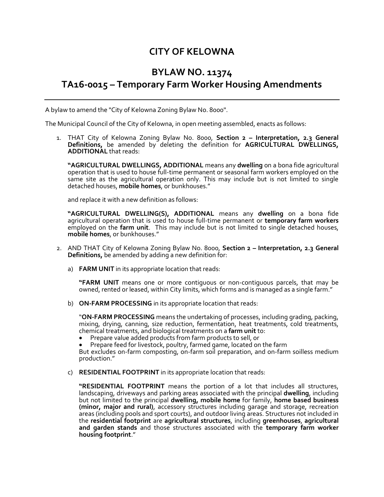# **CITY OF KELOWNA**

# **BYLAW NO. 11374 TA16-0015 – Temporary Farm Worker Housing Amendments**

A bylaw to amend the "City of Kelowna Zoning Bylaw No. 8000".

The Municipal Council of the City of Kelowna, in open meeting assembled, enacts as follows:

1. THAT City of Kelowna Zoning Bylaw No. 8000, **Section 2 – Interpretation, 2.3 General Definitions,** be amended by deleting the definition for **AGRICULTURAL DWELLINGS, ADDITIONAL** that reads:

**"AGRICULTURAL DWELLINGS, ADDITIONAL** means any **dwelling** on a bona fide agricultural operation that is used to house full-time permanent or seasonal farm workers employed on the same site as the agricultural operation only. This may include but is not limited to single detached houses, **mobile homes**, or bunkhouses."

and replace it with a new definition as follows:

**"AGRICULTURAL DWELLING(S), ADDITIONAL** means any **dwelling** on a bona fide agricultural operation that is used to house full-time permanent or **temporary farm workers**  employed on the **farm unit**. This may include but is not limited to single detached houses, **mobile homes**, or bunkhouses."

- 2. AND THAT City of Kelowna Zoning Bylaw No. 8000, **Section 2 – Interpretation, 2.3 General Definitions,** be amended by adding a new definition for:
	- a) **FARM UNIT** in its appropriate location that reads:

**"FARM UNIT** means one or more contiguous or non-contiguous parcels, that may be owned, rented or leased, within City limits, which forms and is managed as a single farm."

b) **ON-FARM PROCESSING** in its appropriate location that reads:

"**ON-FARM PROCESSING** means the undertaking of processes, including grading, packing, mixing, drying, canning, size reduction, fermentation, heat treatments, cold treatments, chemical treatments, and biological treatments on a **farm unit** to:

- Prepare value added products from farm products to sell, or
- Prepare feed for livestock, poultry, farmed game, located on the farm

But excludes on-farm composting, on-farm soil preparation, and on-farm soilless medium production."

c) **RESIDENTIAL FOOTPRINT** in its appropriate location that reads:

**"RESIDENTIAL FOOTPRINT** means the portion of a lot that includes all structures, landscaping, driveways and parking areas associated with the principal **dwelling**, including but not limited to the principal **dwelling, mobile home** for family, **home based business (minor, major and rural)**, accessory structures including garage and storage, recreation areas (including pools and sport courts), and outdoor living areas. Structures not included in the **residential footprint** are **agricultural structures**, including **greenhouses**, **agricultural and garden stands** and those structures associated with the **temporary farm worker housing footprint**."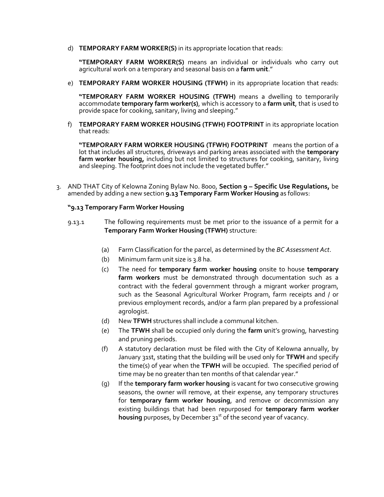d) **TEMPORARY FARM WORKER(S)** in its appropriate location that reads:

**"TEMPORARY FARM WORKER(S)** means an individual or individuals who carry out agricultural work on a temporary and seasonal basis on a **farm unit**."

e) **TEMPORARY FARM WORKER HOUSING (TFWH)** in its appropriate location that reads:

**"TEMPORARY FARM WORKER HOUSING (TFWH)** means a dwelling to temporarily accommodate **temporary farm worker(s)**, which is accessory to a **farm unit**, that is used to provide space for cooking, sanitary, living and sleeping."

f) **TEMPORARY FARM WORKER HOUSING (TFWH) FOOTPRINT** in its appropriate location that reads:

**"TEMPORARY FARM WORKER HOUSING (TFWH) FOOTPRINT** means the portion of a lot that includes all structures, driveways and parking areas associated with the **temporary**  farm worker housing, including but not limited to structures for cooking, sanitary, living and sleeping. The footprint does not include the vegetated buffer."

3. AND THAT City of Kelowna Zoning Bylaw No. 8000, **Section 9 – Specific Use Regulations,** be amended by adding a new section **9.13 Temporary Farm Worker Housing** as follows:

#### **"9.13 Temporary Farm Worker Housing**

- 9.13.1 The following requirements must be met prior to the issuance of a permit for a **Temporary Farm Worker Housing (TFWH)** structure:
	- (a) Farm Classification for the parcel, as determined by the *BC Assessment Act*.
	- (b) Minimum farm unit size is 3.8 ha.
	- (c) The need for **temporary farm worker housing** onsite to house **temporary farm workers** must be demonstrated through documentation such as a contract with the federal government through a migrant worker program, such as the Seasonal Agricultural Worker Program, farm receipts and / or previous employment records, and/or a farm plan prepared by a professional agrologist.
	- (d) New **TFWH** structures shall include a communal kitchen.
	- (e) The **TFWH** shall be occupied only during the **farm u**nit's growing, harvesting and pruning periods.
	- (f) A statutory declaration must be filed with the City of Kelowna annually, by January 31st, stating that the building will be used only for **TFWH** and specify the time(s) of year when the **TFWH** will be occupied. The specified period of time may be no greater than ten months of that calendar year."
	- (g) If the **temporary farm worker housing** is vacant for two consecutive growing seasons, the owner will remove, at their expense, any temporary structures for **temporary farm worker housing**, and remove or decommission any existing buildings that had been repurposed for **temporary farm worker**  housing purposes, by December 31<sup>st</sup> of the second year of vacancy.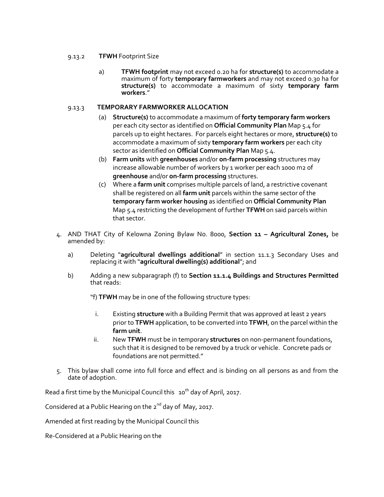#### 9.13.2 **TFWH** Footprint Size

a) **TFWH footprint** may not exceed 0.20 ha for **structure(s)** to accommodate a maximum of forty **temporary farmworkers** and may not exceed 0.30 ha for **structure(s)** to accommodate a maximum of sixty **temporary farm workers**."

### 9.13.3 **TEMPORARY FARMWORKER ALLOCATION**

- (a) **Structure(s)** to accommodate a maximum of **forty temporary farm workers**  per each city sector as identified on **Official Community Plan** Map 5.4 for parcels up to eight hectares. For parcels eight hectares or more, **structure(s)** to accommodate a maximum of sixty **temporary farm workers** per each city sector as identified on **Official Community Plan** Map 5.4.
- (b) **Farm units** with **greenhouses** and/or **on-farm processing** structures may increase allowable number of workers by 1 worker per each 1000 m2 of **greenhouse** and/or **on-farm processing** structures.
- (c) Where a **farm unit** comprises multiple parcels of land, a restrictive covenant shall be registered on all **farm unit** parcels within the same sector of the **temporary farm worker housing** as identified on **Official Community Plan**  Map 5.4 restricting the development of further **TFWH** on said parcels within that sector.
- 4. AND THAT City of Kelowna Zoning Bylaw No. 8000, **Section 11 – Agricultural Zones,** be amended by:
	- a) Deleting "**agricultural dwellings additional**" in section 11.1.3 Secondary Uses and replacing it with "**agricultural dwelling(s) additional**"; and
	- b) Adding a new subparagraph (f) to **Section 11.1.4 Buildings and Structures Permitted** that reads:

"f) **TFWH** may be in one of the following structure types:

- i. Existing **structure** with a Building Permit that was approved at least 2 years prior to **TFWH** application, to be converted into **TFWH**, on the parcel within the **farm unit**.
- ii. New **TFWH** must be in temporary **structures** on non-permanent foundations, such that it is designed to be removed by a truck or vehicle. Concrete pads or foundations are not permitted."
- 5. This bylaw shall come into full force and effect and is binding on all persons as and from the date of adoption.

Read a first time by the Municipal Council this 10<sup>th</sup> day of April, 2017.

Considered at a Public Hearing on the  $2^{nd}$  day of May, 2017.

Amended at first reading by the Municipal Council this

Re-Considered at a Public Hearing on the